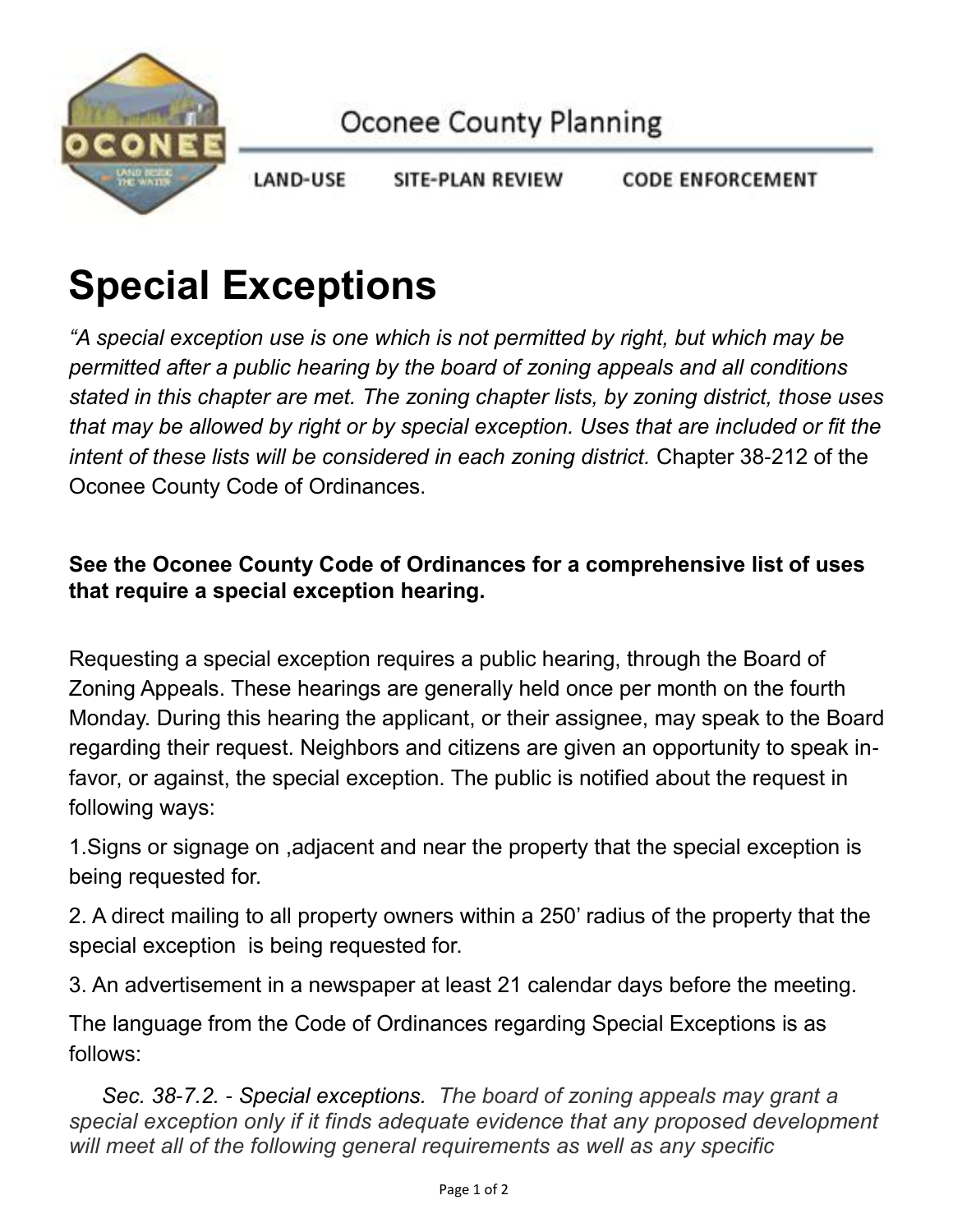

LAND-USE **CODE ENFORCEMENT** SITE-PLAN REVIEW

## **Special Exceptions**

*"A special exception use is one which is not permitted by right, but which may be permitted after a public hearing by the board of zoning appeals and all conditions stated in this chapter are met. The zoning chapter lists, by zoning district, those uses that may be allowed by right or by special exception. Uses that are included or fit the intent of these lists will be considered in each zoning district.* Chapter 38-212 of the Oconee County Code of Ordinances.

## **See the Oconee County Code of Ordinances for a comprehensive list of uses that require a special exception hearing.**

Requesting a special exception requires a public hearing, through the Board of Zoning Appeals. These hearings are generally held once per month on the fourth Monday. During this hearing the applicant, or their assignee, may speak to the Board regarding their request. Neighbors and citizens are given an opportunity to speak infavor, or against, the special exception. The public is notified about the request in following ways:

1.Signs or signage on ,adjacent and near the property that the special exception is being requested for.

2. A direct mailing to all property owners within a 250' radius of the property that the special exception is being requested for.

3. An advertisement in a newspaper at least 21 calendar days before the meeting.

The language from the Code of Ordinances regarding Special Exceptions is as follows:

*Sec. 38-7.2. - Special exceptions. The board of zoning appeals may grant a special exception only if it finds adequate evidence that any proposed development will meet all of the following general requirements as well as any specific*